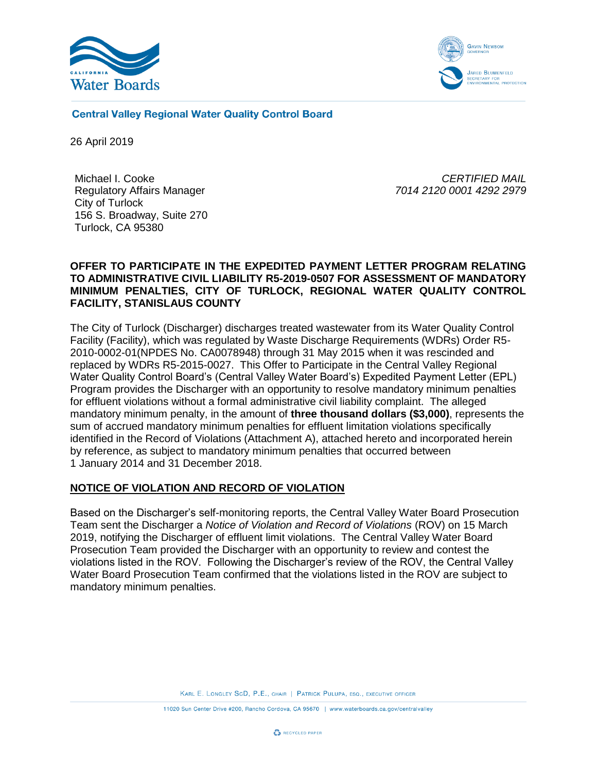



**Central Valley Regional Water Quality Control Board** 

26 April 2019

Michael I. Cooke Regulatory Affairs Manager City of Turlock 156 S. Broadway, Suite 270 Turlock, CA 95380

*CERTIFIED MAIL 7014 2120 0001 4292 2979*

#### **OFFER TO PARTICIPATE IN THE EXPEDITED PAYMENT LETTER PROGRAM RELATING TO ADMINISTRATIVE CIVIL LIABILITY R5-2019-0507 FOR ASSESSMENT OF MANDATORY MINIMUM PENALTIES, CITY OF TURLOCK, REGIONAL WATER QUALITY CONTROL FACILITY, STANISLAUS COUNTY**

The City of Turlock (Discharger) discharges treated wastewater from its Water Quality Control Facility (Facility), which was regulated by Waste Discharge Requirements (WDRs) Order R5- 2010-0002-01(NPDES No. CA0078948) through 31 May 2015 when it was rescinded and replaced by WDRs R5-2015-0027. This Offer to Participate in the Central Valley Regional Water Quality Control Board's (Central Valley Water Board's) Expedited Payment Letter (EPL) Program provides the Discharger with an opportunity to resolve mandatory minimum penalties for effluent violations without a formal administrative civil liability complaint. The alleged mandatory minimum penalty, in the amount of **three thousand dollars (\$3,000)**, represents the sum of accrued mandatory minimum penalties for effluent limitation violations specifically identified in the Record of Violations (Attachment A), attached hereto and incorporated herein by reference, as subject to mandatory minimum penalties that occurred between 1 January 2014 and 31 December 2018.

## **NOTICE OF VIOLATION AND RECORD OF VIOLATION**

Based on the Discharger's self-monitoring reports, the Central Valley Water Board Prosecution Team sent the Discharger a *Notice of Violation and Record of Violations* (ROV) on 15 March 2019, notifying the Discharger of effluent limit violations. The Central Valley Water Board Prosecution Team provided the Discharger with an opportunity to review and contest the violations listed in the ROV. Following the Discharger's review of the ROV, the Central Valley Water Board Prosecution Team confirmed that the violations listed in the ROV are subject to mandatory minimum penalties.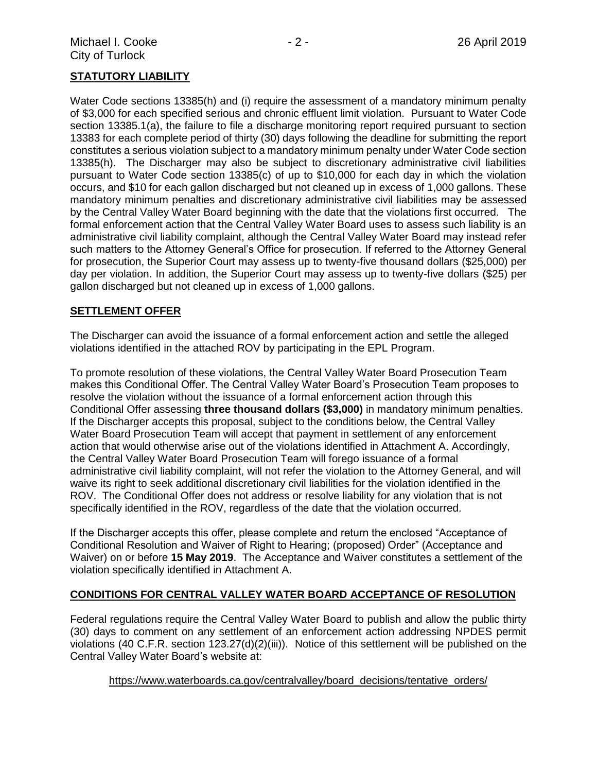## **STATUTORY LIABILITY**

Water Code sections 13385(h) and (i) require the assessment of a mandatory minimum penalty of \$3,000 for each specified serious and chronic effluent limit violation. Pursuant to Water Code section 13385.1(a), the failure to file a discharge monitoring report required pursuant to section 13383 for each complete period of thirty (30) days following the deadline for submitting the report constitutes a serious violation subject to a mandatory minimum penalty under Water Code section 13385(h). The Discharger may also be subject to discretionary administrative civil liabilities pursuant to Water Code section 13385(c) of up to \$10,000 for each day in which the violation occurs, and \$10 for each gallon discharged but not cleaned up in excess of 1,000 gallons. These mandatory minimum penalties and discretionary administrative civil liabilities may be assessed by the Central Valley Water Board beginning with the date that the violations first occurred. The formal enforcement action that the Central Valley Water Board uses to assess such liability is an administrative civil liability complaint, although the Central Valley Water Board may instead refer such matters to the Attorney General's Office for prosecution. If referred to the Attorney General for prosecution, the Superior Court may assess up to twenty-five thousand dollars (\$25,000) per day per violation. In addition, the Superior Court may assess up to twenty-five dollars (\$25) per gallon discharged but not cleaned up in excess of 1,000 gallons.

#### **SETTLEMENT OFFER**

The Discharger can avoid the issuance of a formal enforcement action and settle the alleged violations identified in the attached ROV by participating in the EPL Program.

To promote resolution of these violations, the Central Valley Water Board Prosecution Team makes this Conditional Offer. The Central Valley Water Board's Prosecution Team proposes to resolve the violation without the issuance of a formal enforcement action through this Conditional Offer assessing **three thousand dollars (\$3,000)** in mandatory minimum penalties. If the Discharger accepts this proposal, subject to the conditions below, the Central Valley Water Board Prosecution Team will accept that payment in settlement of any enforcement action that would otherwise arise out of the violations identified in Attachment A. Accordingly, the Central Valley Water Board Prosecution Team will forego issuance of a formal administrative civil liability complaint, will not refer the violation to the Attorney General, and will waive its right to seek additional discretionary civil liabilities for the violation identified in the ROV. The Conditional Offer does not address or resolve liability for any violation that is not specifically identified in the ROV, regardless of the date that the violation occurred.

If the Discharger accepts this offer, please complete and return the enclosed "Acceptance of Conditional Resolution and Waiver of Right to Hearing; (proposed) Order" (Acceptance and Waiver) on or before **15 May 2019**. The Acceptance and Waiver constitutes a settlement of the violation specifically identified in Attachment A.

## **CONDITIONS FOR CENTRAL VALLEY WATER BOARD ACCEPTANCE OF RESOLUTION**

Federal regulations require the Central Valley Water Board to publish and allow the public thirty (30) days to comment on any settlement of an enforcement action addressing NPDES permit violations (40 C.F.R. section 123.27(d)(2)(iii)). Notice of this settlement will be published on the Central Valley Water Board's website at:

## [https://www.waterboards.ca.gov/centralvalley/board\\_decisions/tentative\\_orders/](https://www.waterboards.ca.gov/centralvalley/board_decisions/tentative_orders/)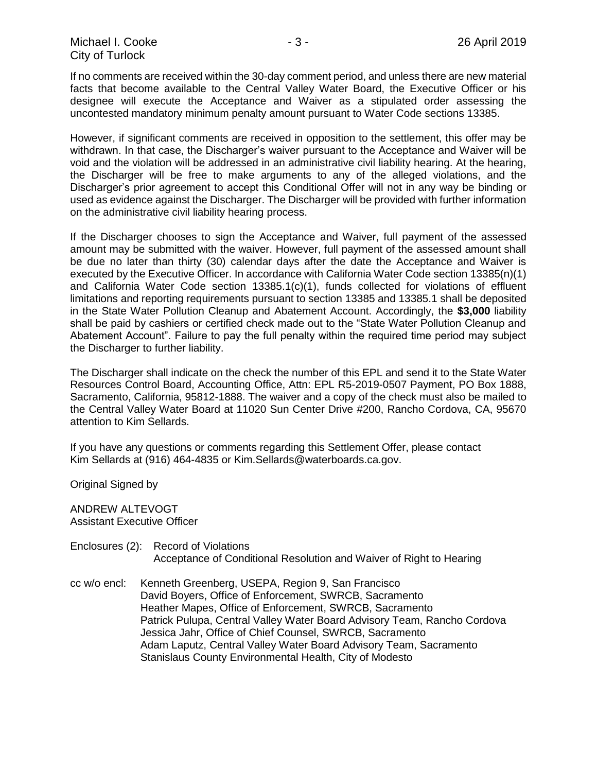If no comments are received within the 30-day comment period, and unless there are new material facts that become available to the Central Valley Water Board, the Executive Officer or his designee will execute the Acceptance and Waiver as a stipulated order assessing the uncontested mandatory minimum penalty amount pursuant to Water Code sections 13385.

However, if significant comments are received in opposition to the settlement, this offer may be withdrawn. In that case, the Discharger's waiver pursuant to the Acceptance and Waiver will be void and the violation will be addressed in an administrative civil liability hearing. At the hearing, the Discharger will be free to make arguments to any of the alleged violations, and the Discharger's prior agreement to accept this Conditional Offer will not in any way be binding or used as evidence against the Discharger. The Discharger will be provided with further information on the administrative civil liability hearing process.

If the Discharger chooses to sign the Acceptance and Waiver, full payment of the assessed amount may be submitted with the waiver. However, full payment of the assessed amount shall be due no later than thirty (30) calendar days after the date the Acceptance and Waiver is executed by the Executive Officer. In accordance with California Water Code section 13385(n)(1) and California Water Code section 13385.1(c)(1), funds collected for violations of effluent limitations and reporting requirements pursuant to section 13385 and 13385.1 shall be deposited in the State Water Pollution Cleanup and Abatement Account. Accordingly, the **\$3,000** liability shall be paid by cashiers or certified check made out to the "State Water Pollution Cleanup and Abatement Account". Failure to pay the full penalty within the required time period may subject the Discharger to further liability.

The Discharger shall indicate on the check the number of this EPL and send it to the State Water Resources Control Board, Accounting Office, Attn: EPL R5-2019-0507 Payment, PO Box 1888, Sacramento, California, 95812-1888. The waiver and a copy of the check must also be mailed to the Central Valley Water Board at 11020 Sun Center Drive #200, Rancho Cordova, CA, 95670 attention to Kim Sellards.

If you have any questions or comments regarding this Settlement Offer, please contact Kim Sellards at (916) 464-4835 or Kim.Sellards@waterboards.ca.gov.

Original Signed by

ANDREW ALTEVOGT Assistant Executive Officer

- Enclosures (2): Record of Violations Acceptance of Conditional Resolution and Waiver of Right to Hearing
- cc w/o encl: Kenneth Greenberg, USEPA, Region 9, San Francisco David Boyers, Office of Enforcement, SWRCB, Sacramento Heather Mapes, Office of Enforcement, SWRCB, Sacramento Patrick Pulupa, Central Valley Water Board Advisory Team, Rancho Cordova Jessica Jahr, Office of Chief Counsel, SWRCB, Sacramento Adam Laputz, Central Valley Water Board Advisory Team, Sacramento Stanislaus County Environmental Health, City of Modesto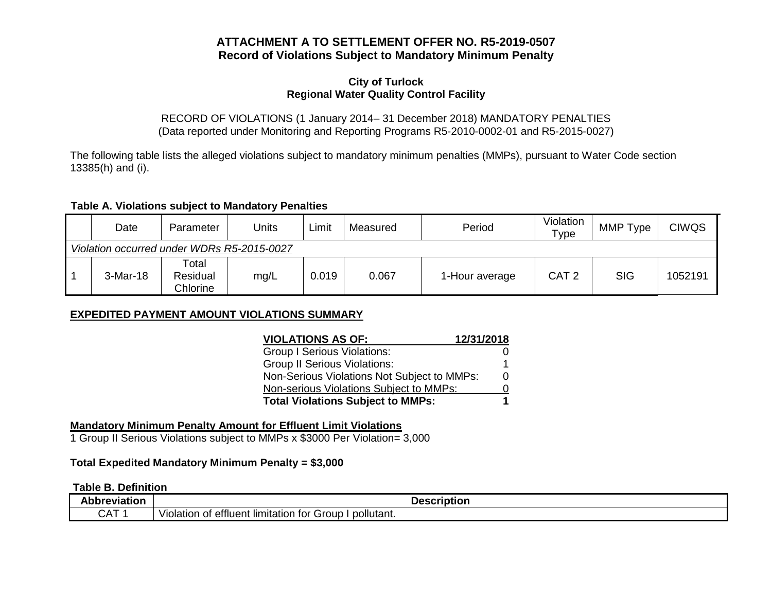## **ATTACHMENT A TO SETTLEMENT OFFER NO. R5-2019-0507 Record of Violations Subject to Mandatory Minimum Penalty**

#### **City of Turlock Regional Water Quality Control Facility**

#### RECORD OF VIOLATIONS (1 January 2014– 31 December 2018) MANDATORY PENALTIES (Data reported under Monitoring and Reporting Programs R5-2010-0002-01 and R5-2015-0027)

The following table lists the alleged violations subject to mandatory minimum penalties (MMPs), pursuant to Water Code section 13385(h) and (i).

#### **Table A. Violations subject to Mandatory Penalties**

|                                            | Date     | Parameter                     | Units | Limit | Measured | Period         | Violation<br>Type | MMP Type   | <b>CIWQS</b> |
|--------------------------------------------|----------|-------------------------------|-------|-------|----------|----------------|-------------------|------------|--------------|
| Violation occurred under WDRs R5-2015-0027 |          |                               |       |       |          |                |                   |            |              |
|                                            | 3-Mar-18 | Total<br>Residual<br>Chlorine | mg/L  | 0.019 | 0.067    | 1-Hour average | CAT <sub>2</sub>  | <b>SIG</b> | 1052191      |

## **EXPEDITED PAYMENT AMOUNT VIOLATIONS SUMMARY**

| 12/31/2018<br><b>VIOLATIONS AS OF:</b>      |   |  |
|---------------------------------------------|---|--|
| <b>Group I Serious Violations:</b>          |   |  |
| <b>Group II Serious Violations:</b>         |   |  |
| Non-Serious Violations Not Subject to MMPs: | 0 |  |
| Non-serious Violations Subject to MMPs:     |   |  |
| <b>Total Violations Subject to MMPs:</b>    |   |  |

## **Mandatory Minimum Penalty Amount for Effluent Limit Violations**

1 Group II Serious Violations subject to MMPs x \$3000 Per Violation= 3,000

## **Total Expedited Mandatory Minimum Penalty = \$3,000**

### **Table B. Definition**

| Abbreviation                         | escription<br>Je.                                                      |  |
|--------------------------------------|------------------------------------------------------------------------|--|
| $\sim$ $\sim$<br>$\mathbf{v}$<br>◡◠▯ | pollutant.<br>tor<br>Group<br>. limitation<br>/iolation of<br>effluent |  |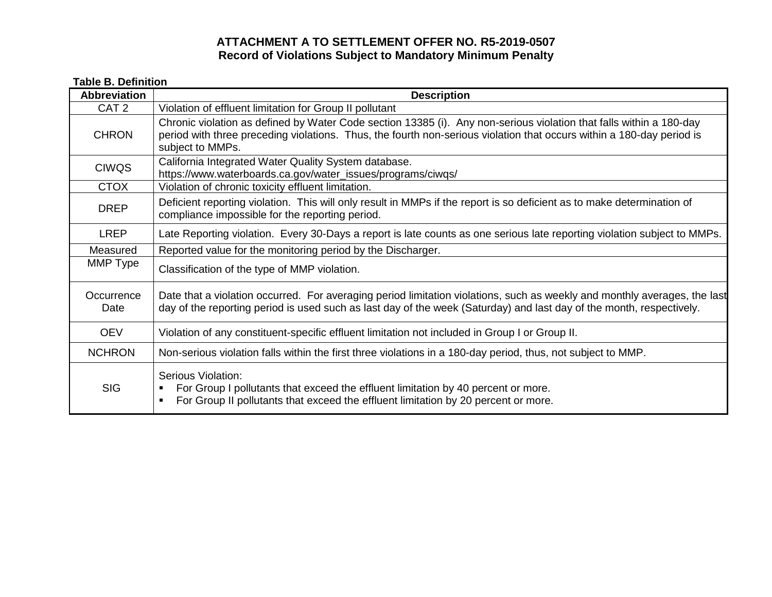# **ATTACHMENT A TO SETTLEMENT OFFER NO. R5-2019-0507 Record of Violations Subject to Mandatory Minimum Penalty**

# **Table B. Definition**

| <b>Abbreviation</b> | <b>Description</b>                                                                                                                                                                                                                                               |
|---------------------|------------------------------------------------------------------------------------------------------------------------------------------------------------------------------------------------------------------------------------------------------------------|
| CAT <sub>2</sub>    | Violation of effluent limitation for Group II pollutant                                                                                                                                                                                                          |
| <b>CHRON</b>        | Chronic violation as defined by Water Code section 13385 (i). Any non-serious violation that falls within a 180-day<br>period with three preceding violations. Thus, the fourth non-serious violation that occurs within a 180-day period is<br>subject to MMPs. |
| <b>CIWQS</b>        | California Integrated Water Quality System database.<br>https://www.waterboards.ca.gov/water_issues/programs/ciwqs/                                                                                                                                              |
| <b>CTOX</b>         | Violation of chronic toxicity effluent limitation.                                                                                                                                                                                                               |
| <b>DREP</b>         | Deficient reporting violation. This will only result in MMPs if the report is so deficient as to make determination of<br>compliance impossible for the reporting period.                                                                                        |
| <b>LREP</b>         | Late Reporting violation. Every 30-Days a report is late counts as one serious late reporting violation subject to MMPs.                                                                                                                                         |
| Measured            | Reported value for the monitoring period by the Discharger.                                                                                                                                                                                                      |
| MMP Type            | Classification of the type of MMP violation.                                                                                                                                                                                                                     |
| Occurrence<br>Date  | Date that a violation occurred. For averaging period limitation violations, such as weekly and monthly averages, the last<br>day of the reporting period is used such as last day of the week (Saturday) and last day of the month, respectively.                |
| <b>OEV</b>          | Violation of any constituent-specific effluent limitation not included in Group I or Group II.                                                                                                                                                                   |
| <b>NCHRON</b>       | Non-serious violation falls within the first three violations in a 180-day period, thus, not subject to MMP.                                                                                                                                                     |
| <b>SIG</b>          | Serious Violation:<br>For Group I pollutants that exceed the effluent limitation by 40 percent or more.<br>For Group II pollutants that exceed the effluent limitation by 20 percent or more.<br>$\blacksquare$                                                  |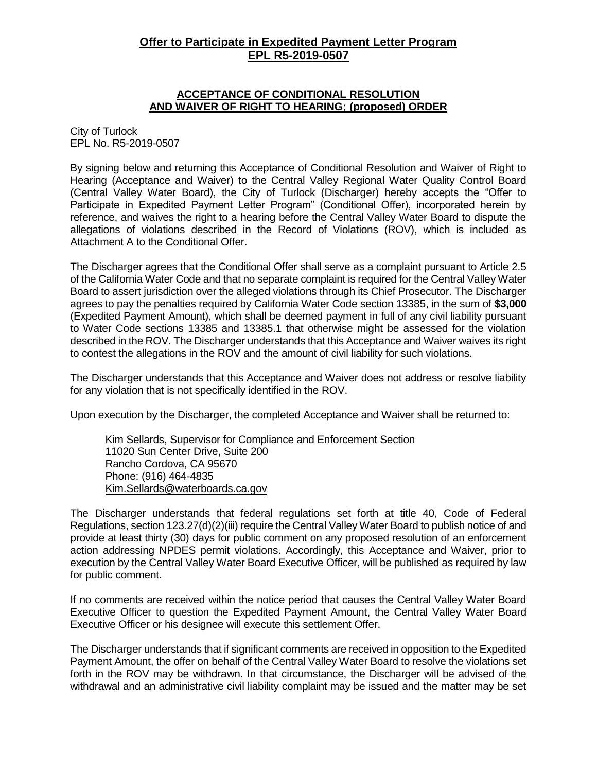# **Offer to Participate in Expedited Payment Letter Program EPL R5-2019-0507**

#### **ACCEPTANCE OF CONDITIONAL RESOLUTION AND WAIVER OF RIGHT TO HEARING; (proposed) ORDER**

City of Turlock EPL No. R5-2019-0507

By signing below and returning this Acceptance of Conditional Resolution and Waiver of Right to Hearing (Acceptance and Waiver) to the Central Valley Regional Water Quality Control Board (Central Valley Water Board), the City of Turlock (Discharger) hereby accepts the "Offer to Participate in Expedited Payment Letter Program" (Conditional Offer), incorporated herein by reference, and waives the right to a hearing before the Central Valley Water Board to dispute the allegations of violations described in the Record of Violations (ROV), which is included as Attachment A to the Conditional Offer.

The Discharger agrees that the Conditional Offer shall serve as a complaint pursuant to Article 2.5 of the California Water Code and that no separate complaint is required for the Central Valley Water Board to assert jurisdiction over the alleged violations through its Chief Prosecutor. The Discharger agrees to pay the penalties required by California Water Code section 13385, in the sum of **\$3,000** (Expedited Payment Amount), which shall be deemed payment in full of any civil liability pursuant to Water Code sections 13385 and 13385.1 that otherwise might be assessed for the violation described in the ROV. The Discharger understands that this Acceptance and Waiver waives its right to contest the allegations in the ROV and the amount of civil liability for such violations.

The Discharger understands that this Acceptance and Waiver does not address or resolve liability for any violation that is not specifically identified in the ROV.

Upon execution by the Discharger, the completed Acceptance and Waiver shall be returned to:

Kim Sellards, Supervisor for Compliance and Enforcement Section 11020 Sun Center Drive, Suite 200 Rancho Cordova, CA 95670 Phone: (916) 464-4835 [Kim.Sellards@waterboards.ca.gov](mailto:Kim.Sellards@waterboards.ca.gov)

The Discharger understands that federal regulations set forth at title 40, Code of Federal Regulations, section 123.27(d)(2)(iii) require the Central Valley Water Board to publish notice of and provide at least thirty (30) days for public comment on any proposed resolution of an enforcement action addressing NPDES permit violations. Accordingly, this Acceptance and Waiver, prior to execution by the Central Valley Water Board Executive Officer, will be published as required by law for public comment.

If no comments are received within the notice period that causes the Central Valley Water Board Executive Officer to question the Expedited Payment Amount, the Central Valley Water Board Executive Officer or his designee will execute this settlement Offer.

The Discharger understands that if significant comments are received in opposition to the Expedited Payment Amount, the offer on behalf of the Central Valley Water Board to resolve the violations set forth in the ROV may be withdrawn. In that circumstance, the Discharger will be advised of the withdrawal and an administrative civil liability complaint may be issued and the matter may be set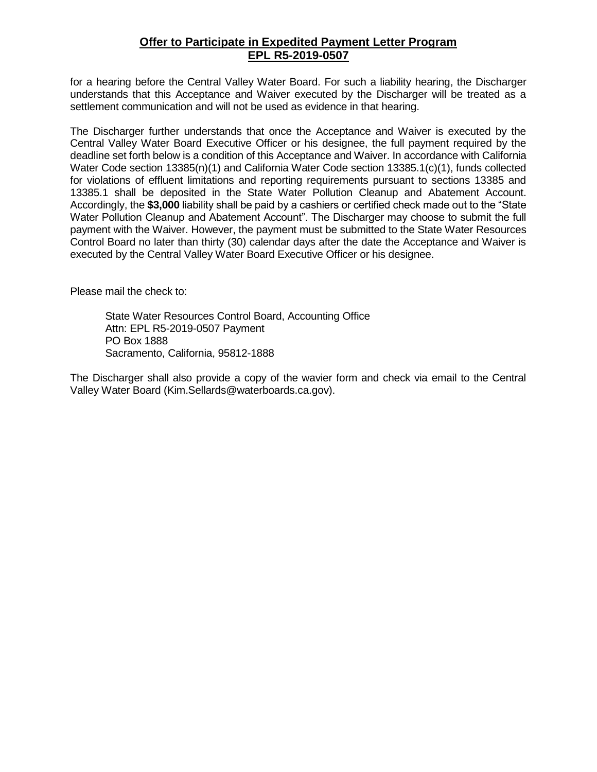# **Offer to Participate in Expedited Payment Letter Program EPL R5-2019-0507**

for a hearing before the Central Valley Water Board. For such a liability hearing, the Discharger understands that this Acceptance and Waiver executed by the Discharger will be treated as a settlement communication and will not be used as evidence in that hearing.

The Discharger further understands that once the Acceptance and Waiver is executed by the Central Valley Water Board Executive Officer or his designee, the full payment required by the deadline set forth below is a condition of this Acceptance and Waiver. In accordance with California Water Code section 13385(n)(1) and California Water Code section 13385.1(c)(1), funds collected for violations of effluent limitations and reporting requirements pursuant to sections 13385 and 13385.1 shall be deposited in the State Water Pollution Cleanup and Abatement Account. Accordingly, the **\$3,000** liability shall be paid by a cashiers or certified check made out to the "State Water Pollution Cleanup and Abatement Account". The Discharger may choose to submit the full payment with the Waiver. However, the payment must be submitted to the State Water Resources Control Board no later than thirty (30) calendar days after the date the Acceptance and Waiver is executed by the Central Valley Water Board Executive Officer or his designee.

Please mail the check to:

State Water Resources Control Board, Accounting Office Attn: EPL R5-2019-0507 Payment PO Box 1888 Sacramento, California, 95812-1888

The Discharger shall also provide a copy of the wavier form and check via email to the Central Valley Water Board (Kim.Sellards@waterboards.ca.gov).